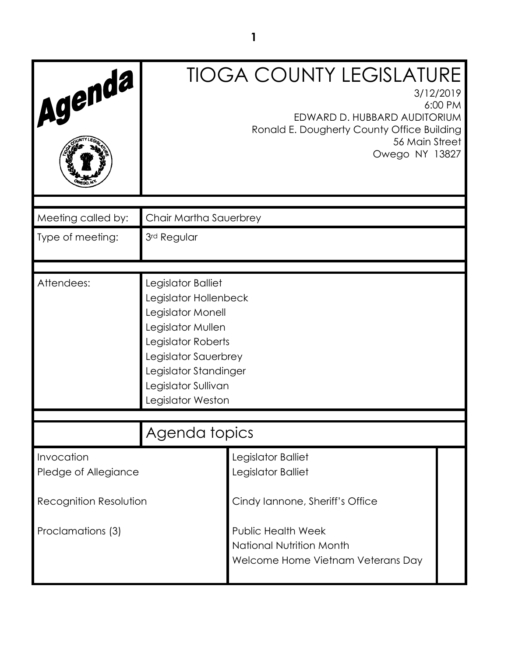| Agenda                                      |                                                                                                                                                                                                          | <b>TIOGA COUNTY LEGISLATURE</b><br>3/12/2019<br>6:00 PM<br>EDWARD D. HUBBARD AUDITORIUM<br>Ronald E. Dougherty County Office Building<br>56 Main Street<br>Owego NY 13827 |
|---------------------------------------------|----------------------------------------------------------------------------------------------------------------------------------------------------------------------------------------------------------|---------------------------------------------------------------------------------------------------------------------------------------------------------------------------|
| Meeting called by:                          | Chair Martha Sauerbrey                                                                                                                                                                                   |                                                                                                                                                                           |
| Type of meeting:                            | 3rd Regular                                                                                                                                                                                              |                                                                                                                                                                           |
| Attendees:                                  | Legislator Balliet<br>Legislator Hollenbeck<br>Legislator Monell<br>Legislator Mullen<br>Legislator Roberts<br>Legislator Sauerbrey<br>Legislator Standinger<br>Legislator Sullivan<br>Legislator Weston |                                                                                                                                                                           |
|                                             | Agenda topics                                                                                                                                                                                            |                                                                                                                                                                           |
| Invocation<br>Pledge of Allegiance          |                                                                                                                                                                                                          | Legislator Balliet<br>Legislator Balliet                                                                                                                                  |
| Recognition Resolution<br>Proclamations (3) |                                                                                                                                                                                                          | Cindy lannone, Sheriff's Office<br><b>Public Health Week</b><br>National Nutrition Month<br>Welcome Home Vietnam Veterans Day                                             |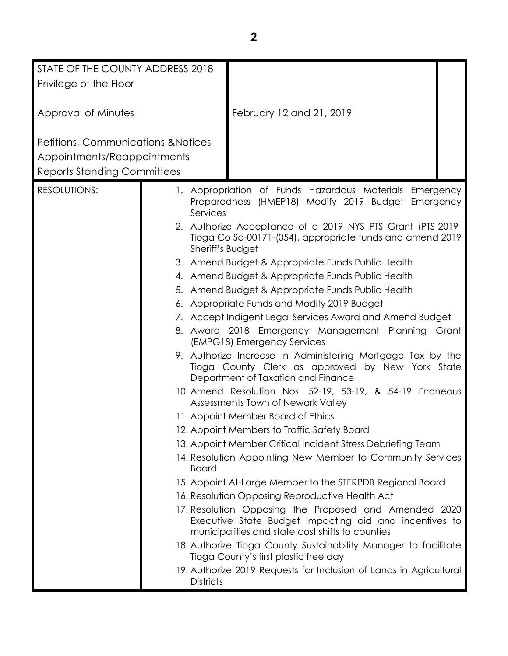| STATE OF THE COUNTY ADDRESS 2018               |                  |                                                                                                                                                                     |
|------------------------------------------------|------------------|---------------------------------------------------------------------------------------------------------------------------------------------------------------------|
| Privilege of the Floor                         |                  |                                                                                                                                                                     |
|                                                |                  |                                                                                                                                                                     |
|                                                |                  |                                                                                                                                                                     |
| Approval of Minutes                            |                  | February 12 and 21, 2019                                                                                                                                            |
|                                                |                  |                                                                                                                                                                     |
| <b>Petitions, Communications &amp; Notices</b> |                  |                                                                                                                                                                     |
| Appointments/Reappointments                    |                  |                                                                                                                                                                     |
| <b>Reports Standing Committees</b>             |                  |                                                                                                                                                                     |
| <b>RESOLUTIONS:</b>                            |                  |                                                                                                                                                                     |
|                                                |                  | 1. Appropriation of Funds Hazardous Materials Emergency<br>Preparedness (HMEP18) Modify 2019 Budget Emergency                                                       |
|                                                | Services         |                                                                                                                                                                     |
|                                                |                  | 2. Authorize Acceptance of a 2019 NYS PTS Grant (PTS-2019-                                                                                                          |
|                                                |                  | Tioga Co So-00171-(054), appropriate funds and amend 2019                                                                                                           |
|                                                | Sheriff's Budget |                                                                                                                                                                     |
|                                                |                  | 3. Amend Budget & Appropriate Funds Public Health                                                                                                                   |
|                                                |                  | 4. Amend Budget & Appropriate Funds Public Health                                                                                                                   |
|                                                |                  | 5. Amend Budget & Appropriate Funds Public Health                                                                                                                   |
|                                                |                  | 6. Appropriate Funds and Modify 2019 Budget                                                                                                                         |
|                                                |                  | 7. Accept Indigent Legal Services Award and Amend Budget                                                                                                            |
|                                                |                  | 8. Award 2018 Emergency Management Planning Grant<br>(EMPG18) Emergency Services                                                                                    |
|                                                |                  | 9. Authorize Increase in Administering Mortgage Tax by the<br>Tioga County Clerk as approved by New York State<br>Department of Taxation and Finance                |
|                                                |                  | 10. Amend Resolution Nos. 52-19, 53-19, & 54-19 Erroneous<br>Assessments Town of Newark Valley                                                                      |
|                                                |                  | 11. Appoint Member Board of Ethics                                                                                                                                  |
|                                                |                  | 12. Appoint Members to Traffic Safety Board                                                                                                                         |
|                                                |                  | 13. Appoint Member Critical Incident Stress Debriefing Team                                                                                                         |
|                                                |                  | 14. Resolution Appointing New Member to Community Services                                                                                                          |
|                                                | <b>Board</b>     |                                                                                                                                                                     |
|                                                |                  | 15. Appoint At-Large Member to the STERPDB Regional Board                                                                                                           |
|                                                |                  | 16. Resolution Opposing Reproductive Health Act                                                                                                                     |
|                                                |                  | 17. Resolution Opposing the Proposed and Amended 2020<br>Executive State Budget impacting aid and incentives to<br>municipalities and state cost shifts to counties |
|                                                |                  | 18. Authorize Tioga County Sustainability Manager to facilitate<br>Tioga County's first plastic free day                                                            |
|                                                | <b>Districts</b> | 19. Authorize 2019 Requests for Inclusion of Lands in Agricultural                                                                                                  |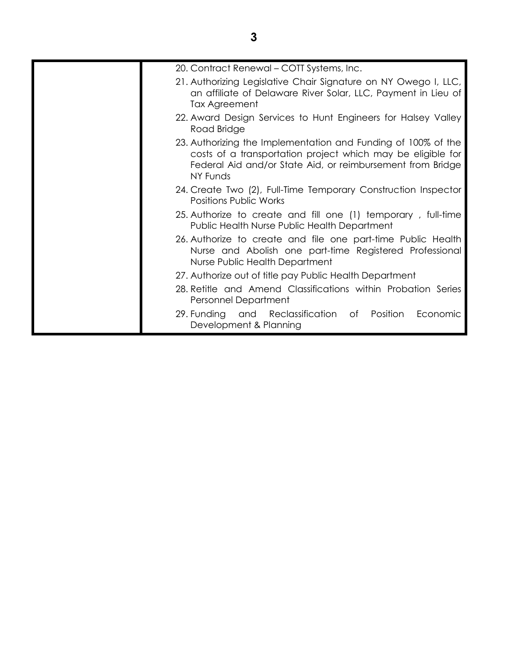| 20. Contract Renewal - COTT Systems, Inc.                                                                                                                                                              |
|--------------------------------------------------------------------------------------------------------------------------------------------------------------------------------------------------------|
| 21. Authorizing Legislative Chair Signature on NY Owego I, LLC,<br>an affiliate of Delaware River Solar, LLC, Payment in Lieu of<br>Tax Agreement                                                      |
| 22. Award Design Services to Hunt Engineers for Halsey Valley<br>Road Bridge                                                                                                                           |
| 23. Authorizing the Implementation and Funding of 100% of the<br>costs of a transportation project which may be eligible for<br>Federal Aid and/or State Aid, or reimbursement from Bridge<br>NY Funds |
| 24. Create Two (2), Full-Time Temporary Construction Inspector<br><b>Positions Public Works</b>                                                                                                        |
| 25. Authorize to create and fill one (1) temporary, full-time<br>Public Health Nurse Public Health Department                                                                                          |
| 26. Authorize to create and file one part-time Public Health<br>Nurse and Abolish one part-time Registered Professional<br>Nurse Public Health Department                                              |
| 27. Authorize out of title pay Public Health Department                                                                                                                                                |
| 28. Retitle and Amend Classifications within Probation Series<br>Personnel Department                                                                                                                  |
| 29. Funding and Reclassification of Position<br>Economic<br>Development & Planning                                                                                                                     |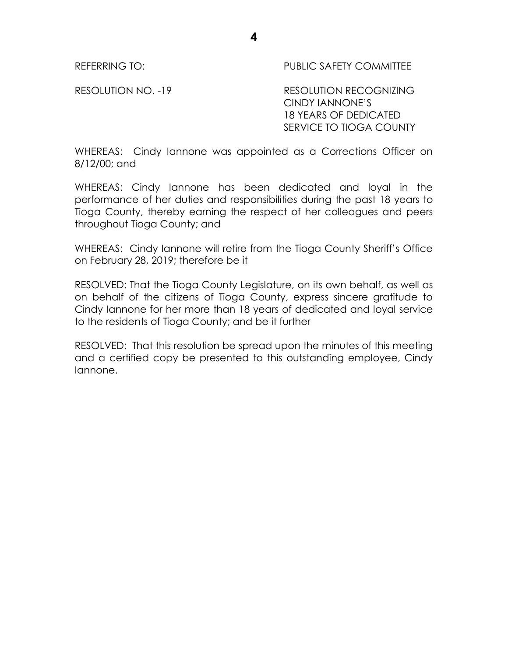REFERRING TO: PUBLIC SAFETY COMMITTEE

RESOLUTION NO. -19 RESOLUTION RECOGNIZING CINDY IANNONE'S 18 YEARS OF DEDICATED SERVICE TO TIOGA COUNTY

WHEREAS: Cindy Iannone was appointed as a Corrections Officer on 8/12/00; and

**4**

WHEREAS: Cindy Iannone has been dedicated and loyal in the performance of her duties and responsibilities during the past 18 years to Tioga County, thereby earning the respect of her colleagues and peers throughout Tioga County; and

WHEREAS: Cindy Iannone will retire from the Tioga County Sheriff's Office on February 28, 2019; therefore be it

RESOLVED: That the Tioga County Legislature, on its own behalf, as well as on behalf of the citizens of Tioga County, express sincere gratitude to Cindy Iannone for her more than 18 years of dedicated and loyal service to the residents of Tioga County; and be it further

RESOLVED: That this resolution be spread upon the minutes of this meeting and a certified copy be presented to this outstanding employee, Cindy Iannone.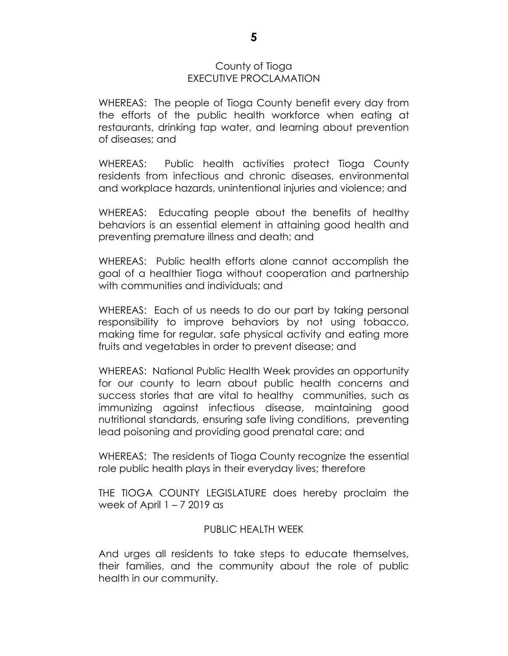#### County of Tioga EXECUTIVE PROCLAMATION

WHEREAS: The people of Tioga County benefit every day from the efforts of the public health workforce when eating at restaurants, drinking tap water, and learning about prevention of diseases; and

WHEREAS: Public health activities protect Tioga County residents from infectious and chronic diseases, environmental and workplace hazards, unintentional injuries and violence; and

WHEREAS: Educating people about the benefits of healthy behaviors is an essential element in attaining good health and preventing premature illness and death; and

WHEREAS: Public health efforts alone cannot accomplish the goal of a healthier Tioga without cooperation and partnership with communities and individuals; and

WHEREAS: Each of us needs to do our part by taking personal responsibility to improve behaviors by not using tobacco, making time for regular, safe physical activity and eating more fruits and vegetables in order to prevent disease; and

WHEREAS: National Public Health Week provides an opportunity for our county to learn about public health concerns and success stories that are vital to healthy communities, such as immunizing against infectious disease, maintaining good nutritional standards, ensuring safe living conditions, preventing lead poisoning and providing good prenatal care; and

WHEREAS: The residents of Tioga County recognize the essential role public health plays in their everyday lives; therefore

THE TIOGA COUNTY LEGISLATURE does hereby proclaim the week of April  $1 - 72019$  as

#### PUBLIC HEALTH WEEK

And urges all residents to take steps to educate themselves, their families, and the community about the role of public health in our community.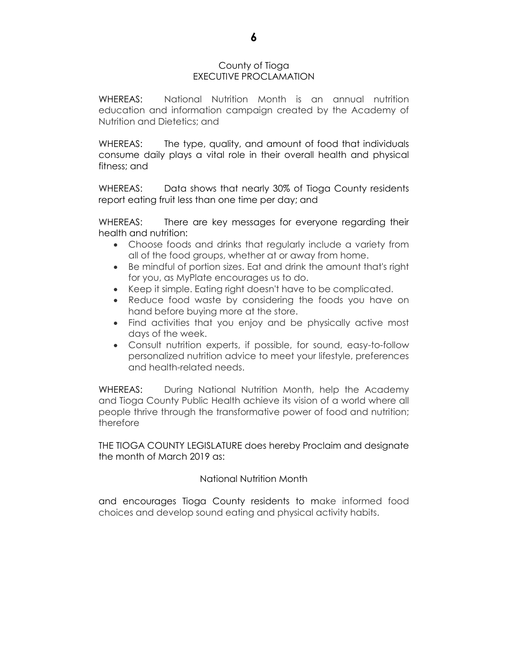#### County of Tioga EXECUTIVE PROCLAMATION

WHEREAS: National Nutrition Month is an annual nutrition education and information campaign created by the Academy of Nutrition and Dietetics; and

WHEREAS: The type, quality, and amount of food that individuals consume daily plays a vital role in their overall health and physical fitness; and

WHEREAS: Data shows that nearly 30% of Tioga County residents report eating fruit less than one time per day; and

WHEREAS: There are key messages for everyone regarding their health and nutrition:

- Choose foods and drinks that regularly include a variety from all of the food groups, whether at or away from home.
- Be mindful of portion sizes. Eat and drink the amount that's right for you, as MyPlate encourages us to do.
- Keep it simple. Eating right doesn't have to be complicated.
- Reduce food waste by considering the foods you have on hand before buying more at the store.
- Find activities that you enjoy and be physically active most days of the week.
- Consult nutrition experts, if possible, for sound, easy-to-follow personalized nutrition advice to meet your lifestyle, preferences and health-related needs.

WHEREAS: During National Nutrition Month, help the Academy and Tioga County Public Health achieve its vision of a world where all people thrive through the transformative power of food and nutrition; therefore

THE TIOGA COUNTY LEGISLATURE does hereby Proclaim and designate the month of March 2019 as:

#### National Nutrition Month

and encourages Tioga County residents to make informed food choices and develop sound eating and physical activity habits.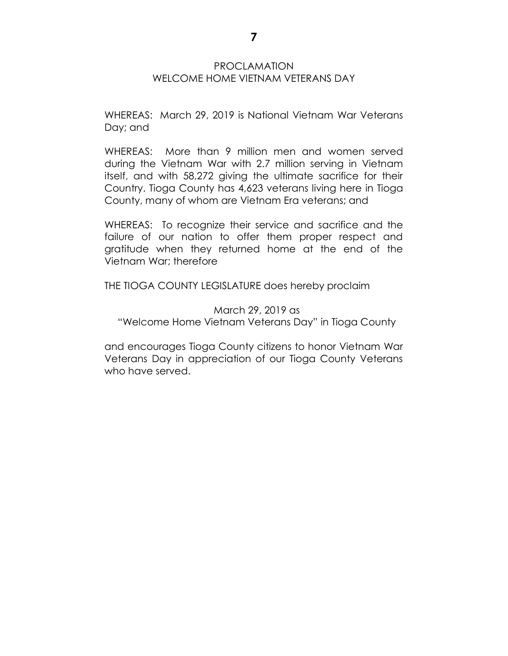#### PROCLAMATION WELCOME HOME VIETNAM VETERANS DAY

WHEREAS: March 29, 2019 is National Vietnam War Veterans Day; and

WHEREAS: More than 9 million men and women served during the Vietnam War with 2.7 million serving in Vietnam itself, and with 58,272 giving the ultimate sacrifice for their Country. Tioga County has 4,623 veterans living here in Tioga County, many of whom are Vietnam Era veterans; and

WHEREAS: To recognize their service and sacrifice and the failure of our nation to offer them proper respect and gratitude when they returned home at the end of the Vietnam War; therefore

THE TIOGA COUNTY LEGISLATURE does hereby proclaim

March 29, 2019 as "Welcome Home Vietnam Veterans Day" in Tioga County

and encourages Tioga County citizens to honor Vietnam War Veterans Day in appreciation of our Tioga County Veterans who have served.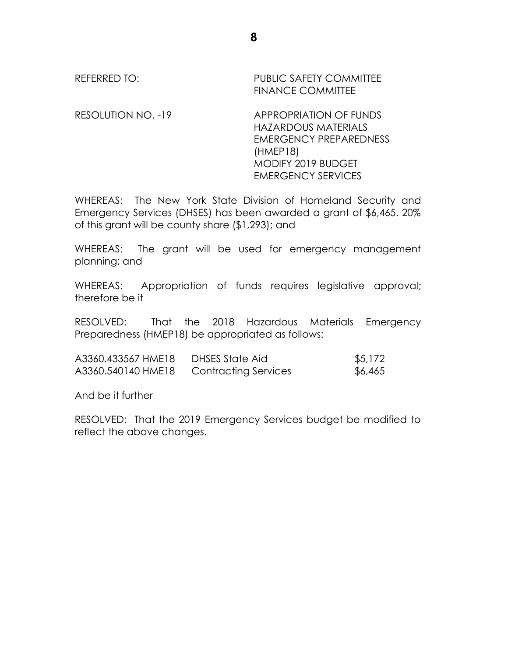# REFERRED TO: PUBLIC SAFETY COMMITTEE FINANCE COMMITTEE

RESOLUTION NO. -19 APPROPRIATION OF FUNDS HAZARDOUS MATERIALS EMERGENCY PREPAREDNESS (HMEP18) MODIFY 2019 BUDGET EMERGENCY SERVICES

WHEREAS: The New York State Division of Homeland Security and Emergency Services (DHSES) has been awarded a grant of \$6,465. 20% of this grant will be county share (\$1,293); and

WHEREAS: The grant will be used for emergency management planning; and

WHEREAS: Appropriation of funds requires legislative approval; therefore be it

RESOLVED: That the 2018 Hazardous Materials Emergency Preparedness (HMEP18) be appropriated as follows:

| A3360.433567 HME18 | DHSES State Aid             | \$5,172 |
|--------------------|-----------------------------|---------|
| A3360.540140 HME18 | <b>Contracting Services</b> | \$6,465 |

And be it further

RESOLVED: That the 2019 Emergency Services budget be modified to reflect the above changes.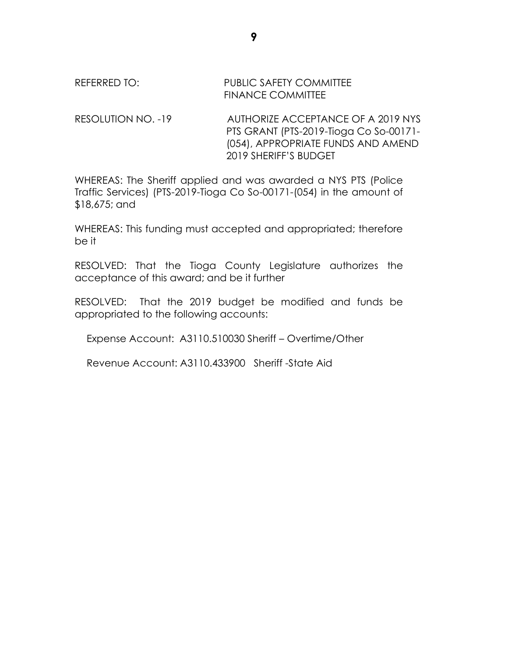#### REFERRED TO: PUBLIC SAFETY COMMITTEE FINANCE COMMITTEE

RESOLUTION NO. -19 AUTHORIZE ACCEPTANCE OF A 2019 NYS PTS GRANT (PTS-2019-Tioga Co So-00171- (054), APPROPRIATE FUNDS AND AMEND 2019 SHERIFF'S BUDGET

WHEREAS: The Sheriff applied and was awarded a NYS PTS (Police Traffic Services) (PTS-2019-Tioga Co So-00171-(054) in the amount of \$18,675; and

WHEREAS: This funding must accepted and appropriated; therefore be it

RESOLVED: That the Tioga County Legislature authorizes the acceptance of this award; and be it further

RESOLVED: That the 2019 budget be modified and funds be appropriated to the following accounts:

Expense Account: A3110.510030 Sheriff – Overtime/Other

Revenue Account: A3110.433900 Sheriff -State Aid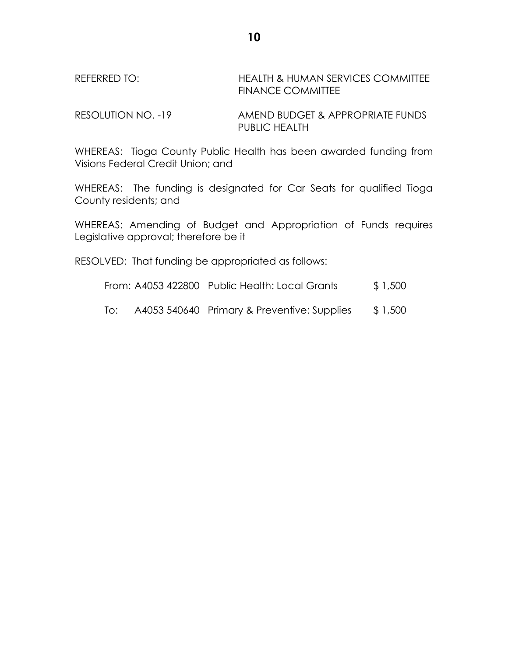REFERRED TO: HEALTH & HUMAN SERVICES COMMITTEE FINANCE COMMITTEE

RESOLUTION NO. -19 AMEND BUDGET & APPROPRIATE FUNDS PUBLIC HEALTH

WHEREAS: Tioga County Public Health has been awarded funding from Visions Federal Credit Union; and

WHEREAS: The funding is designated for Car Seats for qualified Tioga County residents; and

WHEREAS: Amending of Budget and Appropriation of Funds requires Legislative approval; therefore be it

RESOLVED: That funding be appropriated as follows:

From: A4053 422800 Public Health: Local Grants \$ 1,500

To: A4053 540640 Primary & Preventive: Supplies \$ 1,500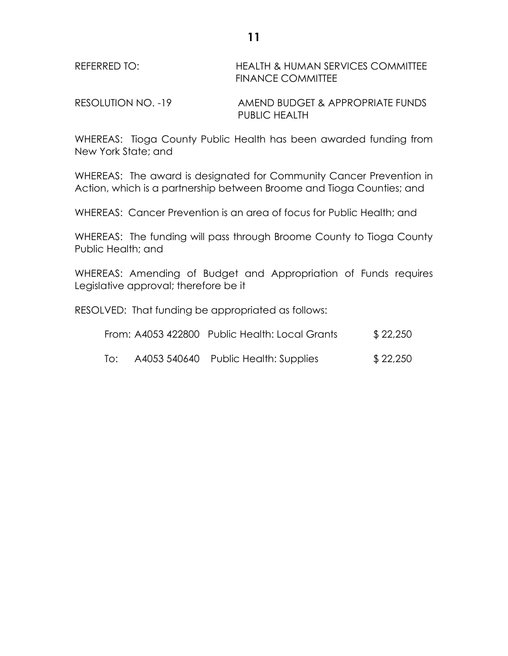| REFERRED TO:       | <b>HEALTH &amp; HUMAN SERVICES COMMITTEE</b><br><b>FINANCE COMMITTEE</b> |
|--------------------|--------------------------------------------------------------------------|
| RESOLUTION NO. -19 | AMEND BUDGET & APPROPRIATE FUNDS                                         |

WHEREAS: Tioga County Public Health has been awarded funding from New York State; and

PUBLIC HEALTH

WHEREAS: The award is designated for Community Cancer Prevention in Action, which is a partnership between Broome and Tioga Counties; and

WHEREAS: Cancer Prevention is an area of focus for Public Health; and

WHEREAS: The funding will pass through Broome County to Tioga County Public Health; and

WHEREAS: Amending of Budget and Appropriation of Funds requires Legislative approval; therefore be it

RESOLVED: That funding be appropriated as follows:

|     | From: A4053 422800 Public Health: Local Grants | \$22,250 |
|-----|------------------------------------------------|----------|
| lo: | A4053 540640 Public Health: Supplies           | \$22,250 |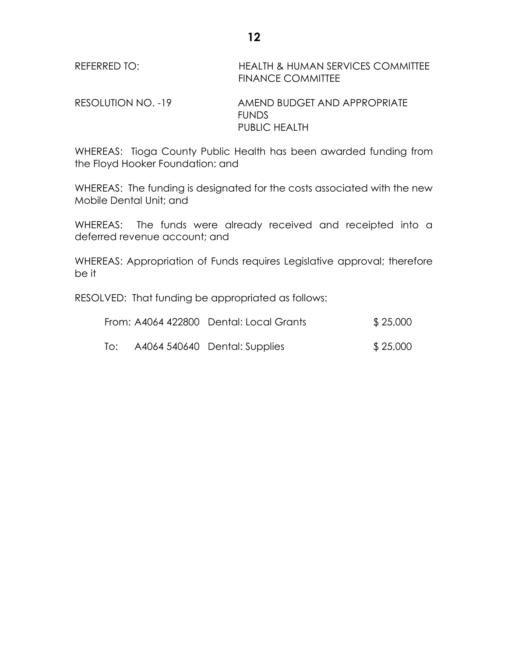| REFERRED TO:       | HEALTH & HUMAN SERVICES COMMITTEE<br><b>FINANCE COMMITTEE</b> |
|--------------------|---------------------------------------------------------------|
| RESOLUTION NO. -19 | AMEND BUDGET AND APPROPRIATE<br>FUNDS.                        |

WHEREAS: Tioga County Public Health has been awarded funding from the Floyd Hooker Foundation: and

PUBLIC HEALTH

WHEREAS: The funding is designated for the costs associated with the new Mobile Dental Unit; and

WHEREAS: The funds were already received and receipted into a deferred revenue account; and

WHEREAS: Appropriation of Funds requires Legislative approval; therefore be it

RESOLVED: That funding be appropriated as follows:

|     | From: A4064 422800 Dental: Local Grants | \$25,000 |
|-----|-----------------------------------------|----------|
| To: | A4064 540640 Dental: Supplies           | \$25,000 |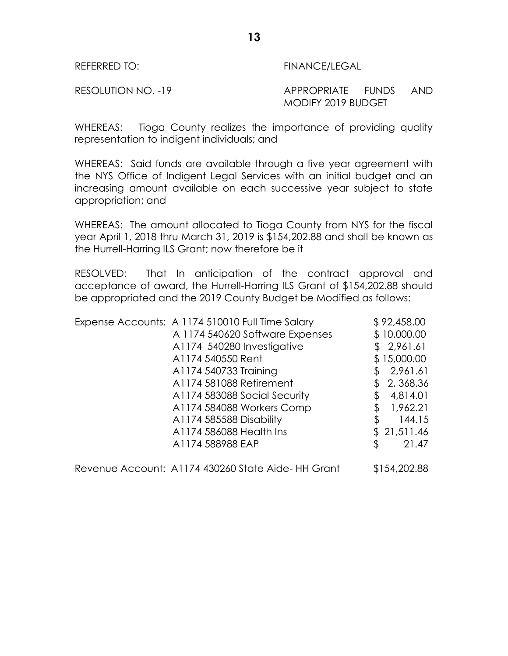REFERRED TO: FINANCE/LEGAL

#### RESOLUTION NO. -19 APPROPRIATE FUNDS AND MODIFY 2019 BUDGET

WHEREAS: Tioga County realizes the importance of providing quality representation to indigent individuals; and

WHEREAS: Said funds are available through a five year agreement with the NYS Office of Indigent Legal Services with an initial budget and an increasing amount available on each successive year subject to state appropriation; and

WHEREAS: The amount allocated to Tioga County from NYS for the fiscal year April 1, 2018 thru March 31, 2019 is \$154,202.88 and shall be known as the Hurrell-Harring ILS Grant; now therefore be it

RESOLVED: That In anticipation of the contract approval and acceptance of award, the Hurrell-Harring ILS Grant of \$154,202.88 should be appropriated and the 2019 County Budget be Modified as follows:

| Expense Accounts: A 1174 510010 Full Time Salary | \$92,458.00  |
|--------------------------------------------------|--------------|
| A 1174 540620 Software Expenses                  | \$10,000.00  |
| A1174 540280 Investigative                       | \$2,961.61   |
| A1174 540550 Rent                                | \$15,000.00  |
| A1174 540733 Training                            | 2,961.61     |
| A1174 581088 Retirement                          | 2,368.36     |
| A1174 583088 Social Security                     | 4,814.01     |
| A1174 584088 Workers Comp                        | 1,962.21     |
| A1174 585588 Disability                          | \$<br>144.15 |
| A1174 586088 Health Ins                          | \$21,511.46  |
| A1174 588988 EAP                                 | \$<br>21.47  |
|                                                  |              |

Revenue Account: A1174 430260 State Aide- HH Grant \$154,202.88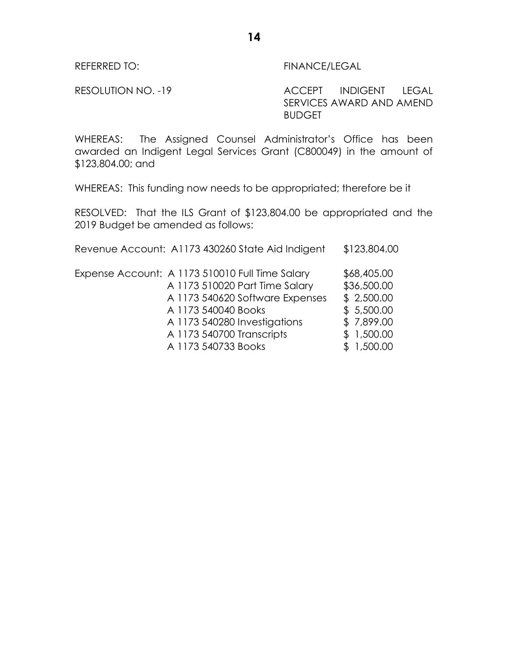REFERRED TO: FINANCE/LEGAL

RESOLUTION NO. -19 ACCEPT INDIGENT LEGAL SERVICES AWARD AND AMEND BUDGET

WHEREAS: The Assigned Counsel Administrator's Office has been awarded an Indigent Legal Services Grant (C800049) in the amount of \$123,804.00; and

WHEREAS: This funding now needs to be appropriated; therefore be it

RESOLVED: That the ILS Grant of \$123,804.00 be appropriated and the 2019 Budget be amended as follows:

| Revenue Account: A1173 430260 State Aid Indigent | \$123,804.00 |
|--------------------------------------------------|--------------|
| Expense Account: A 1173 510010 Full Time Salary  | \$68,405.00  |
| A 1173 510020 Part Time Salary                   | \$36,500.00  |
| A 1173 540620 Software Expenses                  | \$2,500.00   |
| A 1173 540040 Books                              | \$5,500.00   |
| A 1173 540280 Investigations                     | \$7,899.00   |
| A 1173 540700 Transcripts                        | \$1,500.00   |
| A 1173 540733 Books                              | 1,500.00     |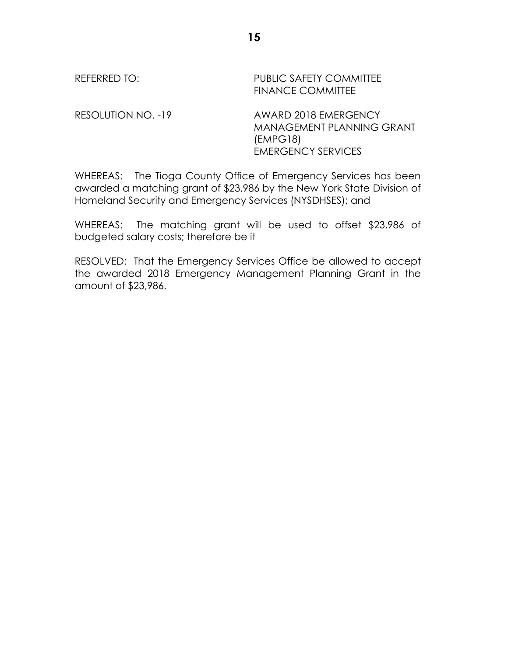REFERRED TO: PUBLIC SAFETY COMMITTEE FINANCE COMMITTEE

RESOLUTION NO. -19 AWARD 2018 EMERGENCY MANAGEMENT PLANNING GRANT (EMPG18) EMERGENCY SERVICES

WHEREAS: The Tioga County Office of Emergency Services has been awarded a matching grant of \$23,986 by the New York State Division of Homeland Security and Emergency Services (NYSDHSES); and

WHEREAS: The matching grant will be used to offset \$23,986 of budgeted salary costs; therefore be it

RESOLVED: That the Emergency Services Office be allowed to accept the awarded 2018 Emergency Management Planning Grant in the amount of \$23,986.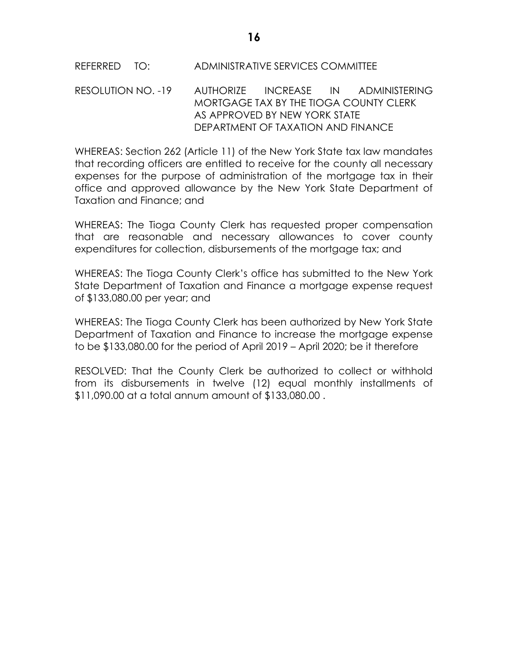### REFERRED TO: ADMINISTRATIVE SERVICES COMMITTEE

RESOLUTION NO. -19 AUTHORIZE INCREASE IN ADMINISTERING MORTGAGE TAX BY THE TIOGA COUNTY CLERK AS APPROVED BY NEW YORK STATE DEPARTMENT OF TAXATION AND FINANCE

WHEREAS: Section 262 (Article 11) of the New York State tax law mandates that recording officers are entitled to receive for the county all necessary expenses for the purpose of administration of the mortgage tax in their office and approved allowance by the New York State Department of Taxation and Finance; and

WHEREAS: The Tioga County Clerk has requested proper compensation that are reasonable and necessary allowances to cover county expenditures for collection, disbursements of the mortgage tax; and

WHEREAS: The Tioga County Clerk's office has submitted to the New York State Department of Taxation and Finance a mortgage expense request of \$133,080.00 per year; and

WHEREAS: The Tioga County Clerk has been authorized by New York State Department of Taxation and Finance to increase the mortgage expense to be \$133,080.00 for the period of April 2019 – April 2020; be it therefore

RESOLVED: That the County Clerk be authorized to collect or withhold from its disbursements in twelve (12) equal monthly installments of \$11,090.00 at a total annum amount of \$133,080.00 .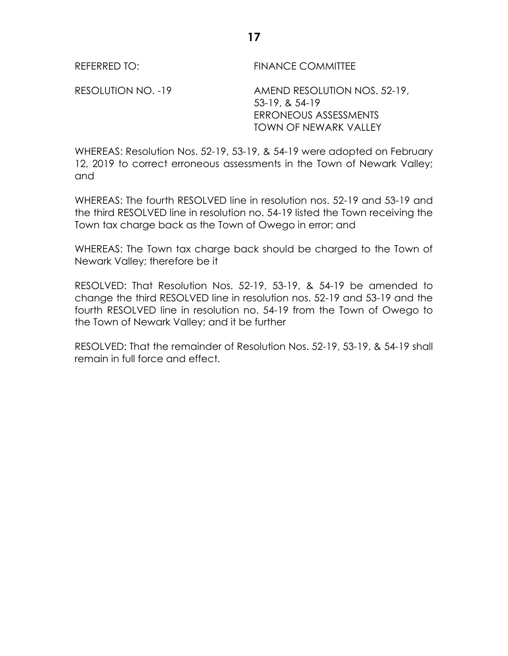REFERRED TO: FINANCE COMMITTEE

RESOLUTION NO. -19 AMEND RESOLUTION NOS. 52-19, 53-19, & 54-19 ERRONEOUS ASSESSMENTS TOWN OF NEWARK VALLEY

WHEREAS: Resolution Nos. 52-19, 53-19, & 54-19 were adopted on February 12, 2019 to correct erroneous assessments in the Town of Newark Valley; and

WHEREAS: The fourth RESOLVED line in resolution nos. 52-19 and 53-19 and the third RESOLVED line in resolution no. 54-19 listed the Town receiving the Town tax charge back as the Town of Owego in error; and

WHEREAS: The Town tax charge back should be charged to the Town of Newark Valley; therefore be it

RESOLVED: That Resolution Nos. 52-19, 53-19, & 54-19 be amended to change the third RESOLVED line in resolution nos. 52-19 and 53-19 and the fourth RESOLVED line in resolution no. 54-19 from the Town of Owego to the Town of Newark Valley; and it be further

RESOLVED: That the remainder of Resolution Nos. 52-19, 53-19, & 54-19 shall remain in full force and effect.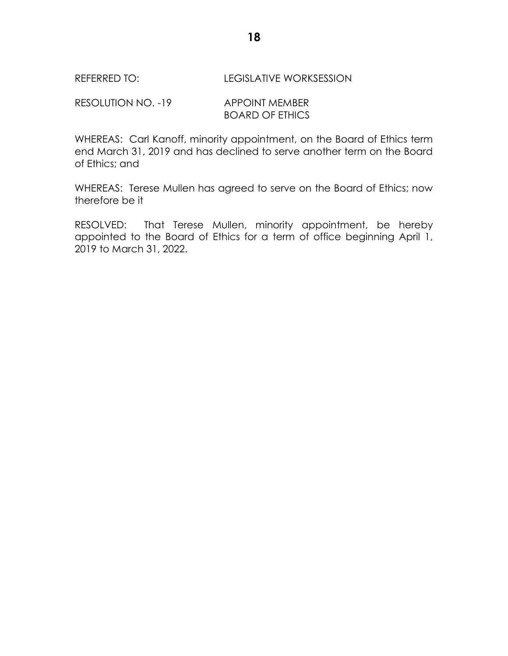#### REFERRED TO: LEGISLATIVE WORKSESSION

RESOLUTION NO. -19 APPOINT MEMBER BOARD OF ETHICS

WHEREAS: Carl Kanoff, minority appointment, on the Board of Ethics term end March 31, 2019 and has declined to serve another term on the Board of Ethics; and

WHEREAS: Terese Mullen has agreed to serve on the Board of Ethics; now therefore be it

RESOLVED: That Terese Mullen, minority appointment, be hereby appointed to the Board of Ethics for a term of office beginning April 1, 2019 to March 31, 2022.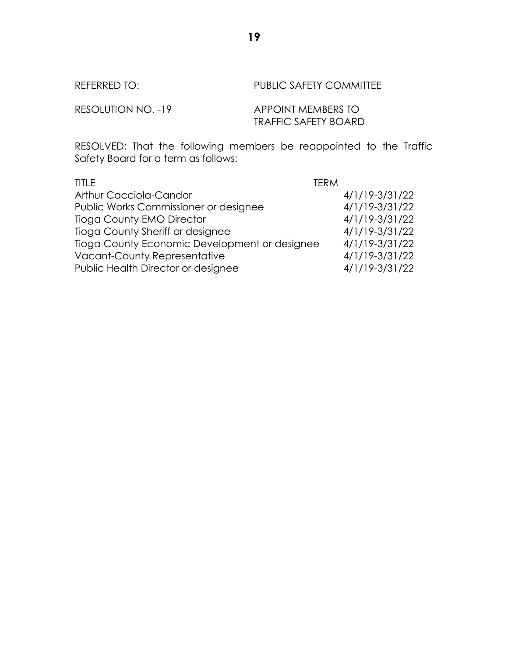REFERRED TO: PUBLIC SAFETY COMMITTEE

RESOLUTION NO. -19 APPOINT MEMBERS TO TRAFFIC SAFETY BOARD

RESOLVED: That the following members be reappointed to the Traffic Safety Board for a term as follows:

| <b>TITLE</b>                                  | TFRM           |
|-----------------------------------------------|----------------|
| <b>Arthur Cacciola-Candor</b>                 | 4/1/19-3/31/22 |
| Public Works Commissioner or designee         | 4/1/19-3/31/22 |
| <b>Tioga County EMO Director</b>              | 4/1/19-3/31/22 |
| Tioga County Sheriff or designee              | 4/1/19-3/31/22 |
| Tioga County Economic Development or designee | 4/1/19-3/31/22 |
| <b>Vacant-County Representative</b>           | 4/1/19-3/31/22 |
| Public Health Director or designee            | 4/1/19-3/31/22 |

**19**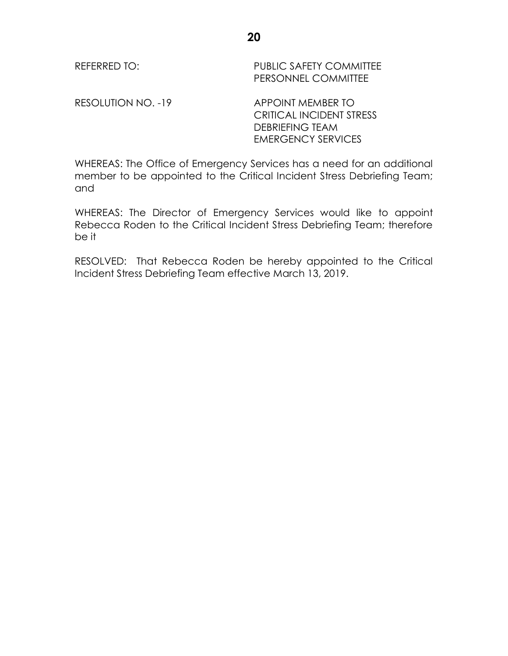REFERRED TO: PUBLIC SAFETY COMMITTEE PERSONNEL COMMITTEE

RESOLUTION NO. -19 APPOINT MEMBER TO

CRITICAL INCIDENT STRESS DEBRIEFING TEAM EMERGENCY SERVICES

WHEREAS: The Office of Emergency Services has a need for an additional member to be appointed to the Critical Incident Stress Debriefing Team; and

WHEREAS: The Director of Emergency Services would like to appoint Rebecca Roden to the Critical Incident Stress Debriefing Team; therefore be it

RESOLVED: That Rebecca Roden be hereby appointed to the Critical Incident Stress Debriefing Team effective March 13, 2019.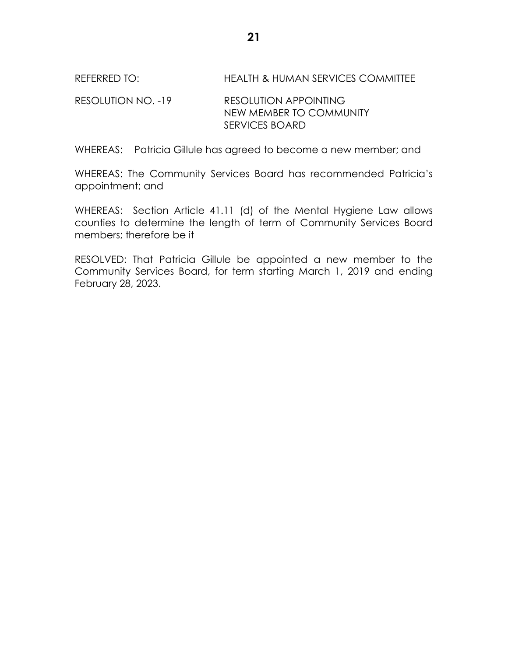REFERRED TO: HEALTH & HUMAN SERVICES COMMITTEE

RESOLUTION NO. -19 RESOLUTION APPOINTING NEW MEMBER TO COMMUNITY SERVICES BOARD

WHEREAS: Patricia Gillule has agreed to become a new member; and

WHEREAS: The Community Services Board has recommended Patricia's appointment; and

WHEREAS: Section Article 41.11 (d) of the Mental Hygiene Law allows counties to determine the length of term of Community Services Board members; therefore be it

RESOLVED: That Patricia Gillule be appointed a new member to the Community Services Board, for term starting March 1, 2019 and ending February 28, 2023.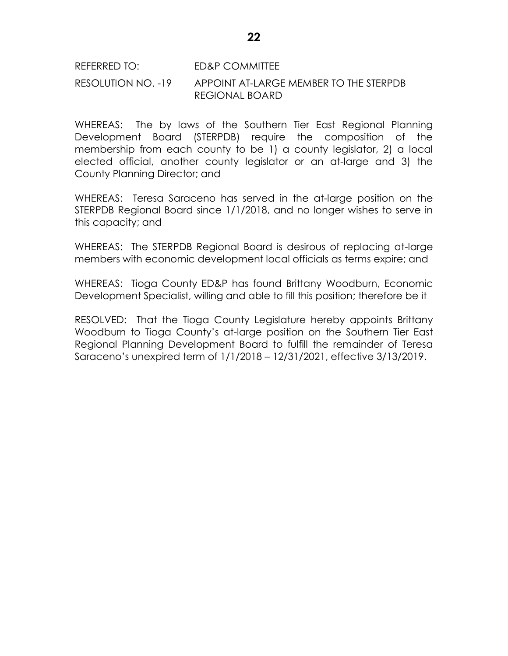# REFERRED TO: ED&P COMMITTEE RESOLUTION NO. -19 APPOINT AT-LARGE MEMBER TO THE STERPDB REGIONAL BOARD

WHEREAS: The by laws of the Southern Tier East Regional Planning Development Board (STERPDB) require the composition of the membership from each county to be 1) a county legislator, 2) a local elected official, another county legislator or an at-large and 3) the County Planning Director; and

WHEREAS: Teresa Saraceno has served in the at-large position on the STERPDB Regional Board since 1/1/2018, and no longer wishes to serve in this capacity; and

WHEREAS: The STERPDB Regional Board is desirous of replacing at-large members with economic development local officials as terms expire; and

WHEREAS: Tioga County ED&P has found Brittany Woodburn, Economic Development Specialist, willing and able to fill this position; therefore be it

RESOLVED: That the Tioga County Legislature hereby appoints Brittany Woodburn to Tioga County's at-large position on the Southern Tier East Regional Planning Development Board to fulfill the remainder of Teresa Saraceno's unexpired term of 1/1/2018 – 12/31/2021, effective 3/13/2019.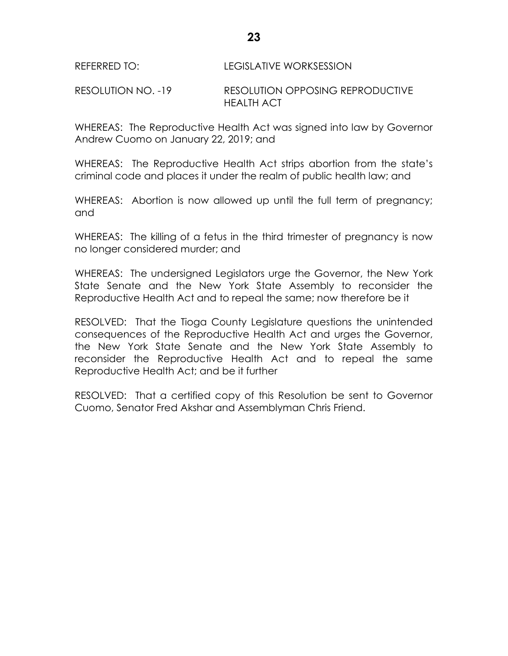RESOLUTION NO. -19 RESOLUTION OPPOSING REPRODUCTIVE HEALTH ACT

WHEREAS: The Reproductive Health Act was signed into law by Governor Andrew Cuomo on January 22, 2019; and

WHEREAS: The Reproductive Health Act strips abortion from the state's criminal code and places it under the realm of public health law; and

WHEREAS: Abortion is now allowed up until the full term of pregnancy; and

WHEREAS: The killing of a fetus in the third trimester of pregnancy is now no longer considered murder; and

WHEREAS: The undersigned Legislators urge the Governor, the New York State Senate and the New York State Assembly to reconsider the Reproductive Health Act and to repeal the same; now therefore be it

RESOLVED: That the Tioga County Legislature questions the unintended consequences of the Reproductive Health Act and urges the Governor, the New York State Senate and the New York State Assembly to reconsider the Reproductive Health Act and to repeal the same Reproductive Health Act; and be it further

RESOLVED: That a certified copy of this Resolution be sent to Governor Cuomo, Senator Fred Akshar and Assemblyman Chris Friend.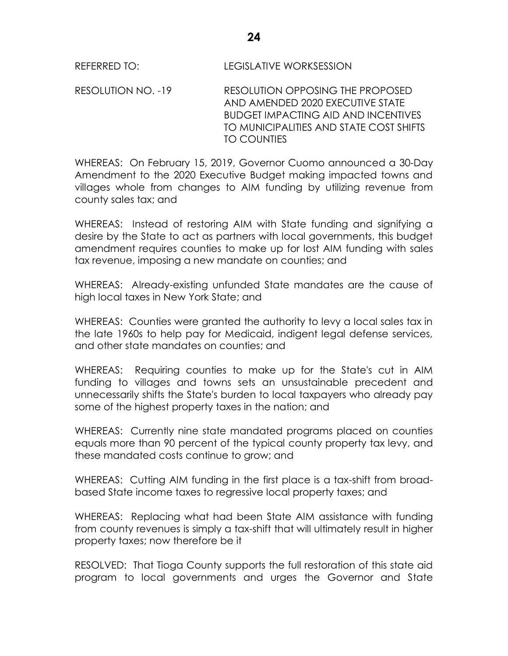REFERRED TO: LEGISLATIVE WORKSESSION

RESOLUTION NO. -19 RESOLUTION OPPOSING THE PROPOSED AND AMENDED 2020 EXECUTIVE STATE BUDGET IMPACTING AID AND INCENTIVES TO MUNICIPALITIES AND STATE COST SHIFTS TO COUNTIES

WHEREAS: On February 15, 2019, Governor Cuomo announced a 30-Day Amendment to the 2020 Executive Budget making impacted towns and villages whole from changes to AIM funding by utilizing revenue from county sales tax; and

WHEREAS: Instead of restoring AIM with State funding and signifying a desire by the State to act as partners with local governments, this budget amendment requires counties to make up for lost AIM funding with sales tax revenue, imposing a new mandate on counties; and

WHEREAS: Already-existing unfunded State mandates are the cause of high local taxes in New York State; and

WHEREAS: Counties were granted the authority to levy a local sales tax in the late 1960s to help pay for Medicaid, indigent legal defense services, and other state mandates on counties; and

WHEREAS: Requiring counties to make up for the State's cut in AIM funding to villages and towns sets an unsustainable precedent and unnecessarily shifts the State's burden to local taxpayers who already pay some of the highest property taxes in the nation; and

WHEREAS: Currently nine state mandated programs placed on counties equals more than 90 percent of the typical county property tax levy, and these mandated costs continue to grow; and

WHEREAS: Cutting AIM funding in the first place is a tax-shift from broadbased State income taxes to regressive local property taxes; and

WHEREAS: Replacing what had been State AIM assistance with funding from county revenues is simply a tax-shift that will ultimately result in higher property taxes; now therefore be it

RESOLVED: That Tioga County supports the full restoration of this state aid program to local governments and urges the Governor and State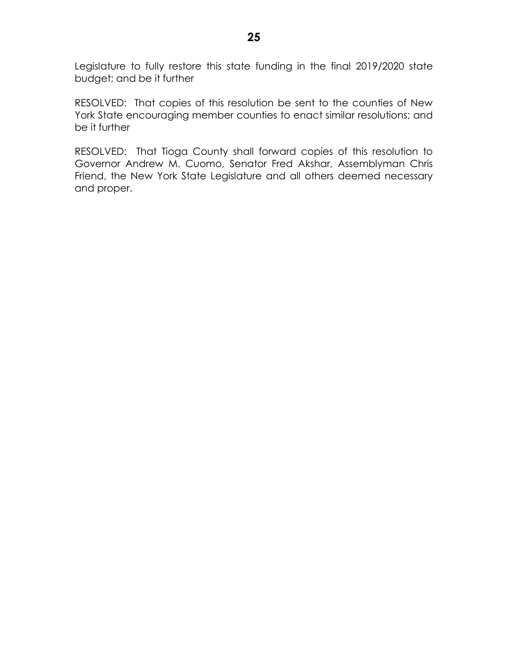Legislature to fully restore this state funding in the final 2019/2020 state budget; and be it further

RESOLVED: That copies of this resolution be sent to the counties of New York State encouraging member counties to enact similar resolutions; and be it further

RESOLVED: That Tioga County shall forward copies of this resolution to Governor Andrew M. Cuomo, Senator Fred Akshar, Assemblyman Chris Friend, the New York State Legislature and all others deemed necessary and proper.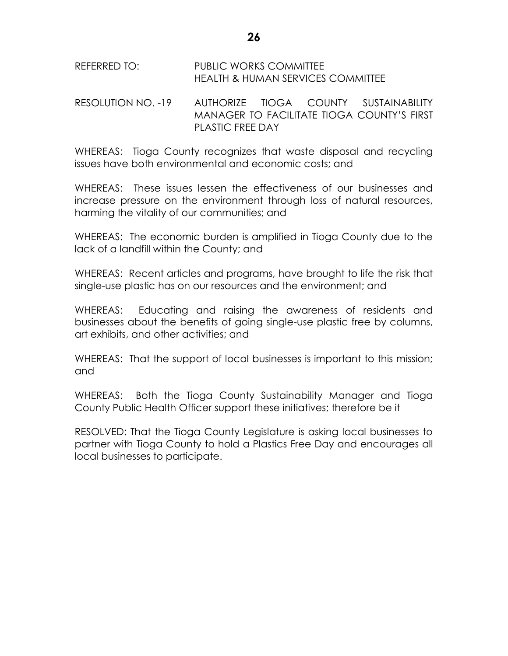#### REFERRED TO: PUBLIC WORKS COMMITTEE HEALTH & HUMAN SERVICES COMMITTEE

# RESOLUTION NO. -19 AUTHORIZE TIOGA COUNTY SUSTAINABILITY MANAGER TO FACILITATE TIOGA COUNTY'S FIRST PLASTIC FREE DAY

WHEREAS: Tioga County recognizes that waste disposal and recycling issues have both environmental and economic costs; and

WHEREAS: These issues lessen the effectiveness of our businesses and increase pressure on the environment through loss of natural resources, harming the vitality of our communities; and

WHEREAS: The economic burden is amplified in Tioga County due to the lack of a landfill within the County; and

WHEREAS: Recent articles and programs, have brought to life the risk that single-use plastic has on our resources and the environment; and

WHEREAS: Educating and raising the awareness of residents and businesses about the benefits of going single-use plastic free by columns, art exhibits, and other activities; and

WHEREAS: That the support of local businesses is important to this mission; and

WHEREAS: Both the Tioga County Sustainability Manager and Tioga County Public Health Officer support these initiatives; therefore be it

RESOLVED: That the Tioga County Legislature is asking local businesses to partner with Tioga County to hold a Plastics Free Day and encourages all local businesses to participate.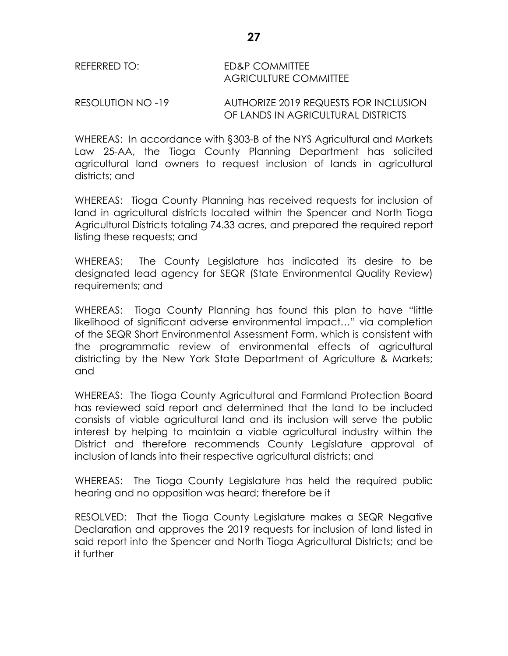RESOLUTION NO -19 AUTHORIZE 2019 REQUESTS FOR INCLUSION OF LANDS IN AGRICULTURAL DISTRICTS

WHEREAS: In accordance with §303-B of the NYS Agricultural and Markets Law 25-AA, the Tioga County Planning Department has solicited agricultural land owners to request inclusion of lands in agricultural districts; and

WHEREAS: Tioga County Planning has received requests for inclusion of land in agricultural districts located within the Spencer and North Tioga Agricultural Districts totaling 74.33 acres, and prepared the required report listing these requests; and

WHEREAS: The County Legislature has indicated its desire to be designated lead agency for SEQR (State Environmental Quality Review) requirements; and

WHEREAS: Tioga County Planning has found this plan to have "little likelihood of significant adverse environmental impact…" via completion of the SEQR Short Environmental Assessment Form, which is consistent with the programmatic review of environmental effects of agricultural districting by the New York State Department of Agriculture & Markets; and

WHEREAS: The Tioga County Agricultural and Farmland Protection Board has reviewed said report and determined that the land to be included consists of viable agricultural land and its inclusion will serve the public interest by helping to maintain a viable agricultural industry within the District and therefore recommends County Legislature approval of inclusion of lands into their respective agricultural districts; and

WHEREAS: The Tioga County Legislature has held the required public hearing and no opposition was heard; therefore be it

RESOLVED: That the Tioga County Legislature makes a SEQR Negative Declaration and approves the 2019 requests for inclusion of land listed in said report into the Spencer and North Tioga Agricultural Districts; and be it further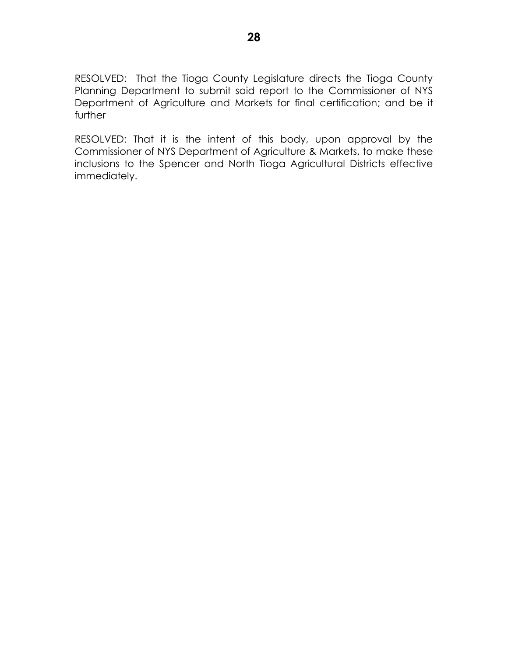RESOLVED: That the Tioga County Legislature directs the Tioga County Planning Department to submit said report to the Commissioner of NYS Department of Agriculture and Markets for final certification; and be it further

RESOLVED: That it is the intent of this body, upon approval by the Commissioner of NYS Department of Agriculture & Markets, to make these inclusions to the Spencer and North Tioga Agricultural Districts effective immediately.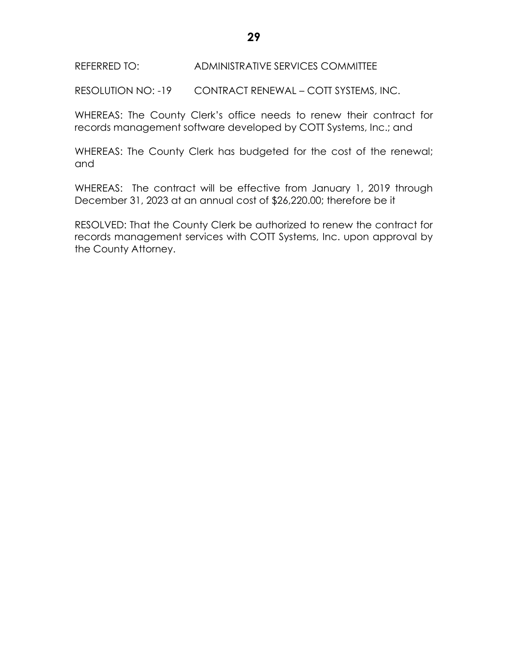RESOLUTION NO: -19 CONTRACT RENEWAL – COTT SYSTEMS, INC.

WHEREAS: The County Clerk's office needs to renew their contract for records management software developed by COTT Systems, Inc.; and

WHEREAS: The County Clerk has budgeted for the cost of the renewal; and

WHEREAS: The contract will be effective from January 1, 2019 through December 31, 2023 at an annual cost of \$26,220.00; therefore be it

RESOLVED: That the County Clerk be authorized to renew the contract for records management services with COTT Systems, Inc. upon approval by the County Attorney.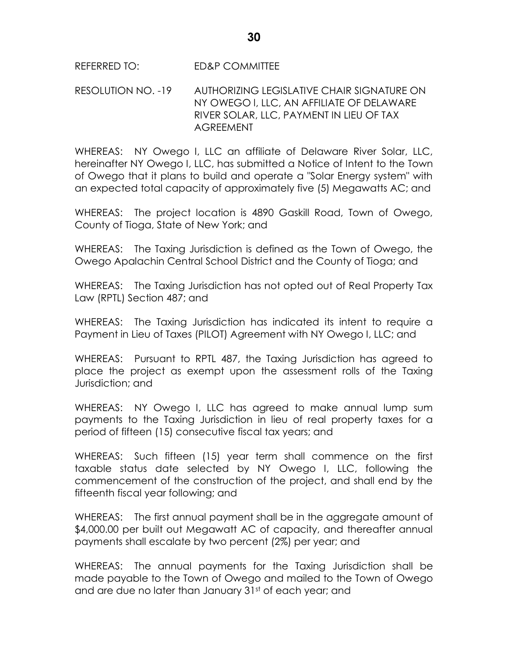### REFERRED TO: ED&P COMMITTEE

## RESOLUTION NO. -19 AUTHORIZING LEGISLATIVE CHAIR SIGNATURE ON NY OWEGO l, LLC, AN AFFILIATE OF DELAWARE RIVER SOLAR, LLC, PAYMENT IN LIEU OF TAX AGREEMENT

WHEREAS: NY Owego I, LLC an affiliate of Delaware River Solar, LLC, hereinafter NY Owego I, LLC, has submitted a Notice of Intent to the Town of Owego that it plans to build and operate a "Solar Energy system" with an expected total capacity of approximately five (5) Megawatts AC; and

WHEREAS: The project location is 4890 Gaskill Road, Town of Owego, County of Tioga, State of New York; and

WHEREAS: The Taxing Jurisdiction is defined as the Town of Owego, the Owego Apalachin Central School District and the County of Tioga; and

WHEREAS: The Taxing Jurisdiction has not opted out of Real Property Tax Law (RPTL) Section 487; and

WHEREAS: The Taxing Jurisdiction has indicated its intent to require a Payment in Lieu of Taxes (PILOT) Agreement with NY Owego I, LLC; and

WHEREAS: Pursuant to RPTL 487, the Taxing Jurisdiction has agreed to place the project as exempt upon the assessment rolls of the Taxing Jurisdiction; and

WHEREAS: NY Owego I, LLC has agreed to make annual lump sum payments to the Taxing Jurisdiction in lieu of real property taxes for a period of fifteen (15) consecutive fiscal tax years; and

WHEREAS: Such fifteen (15) year term shall commence on the first taxable status date selected by NY Owego I, LLC, following the commencement of the construction of the project, and shall end by the fifteenth fiscal year following; and

WHEREAS: The first annual payment shall be in the aggregate amount of \$4,000.00 per built out Megawatt AC of capacity, and thereafter annual payments shall escalate by two percent (2%) per year; and

WHEREAS: The annual payments for the Taxing Jurisdiction shall be made payable to the Town of Owego and mailed to the Town of Owego and are due no later than January 31st of each year; and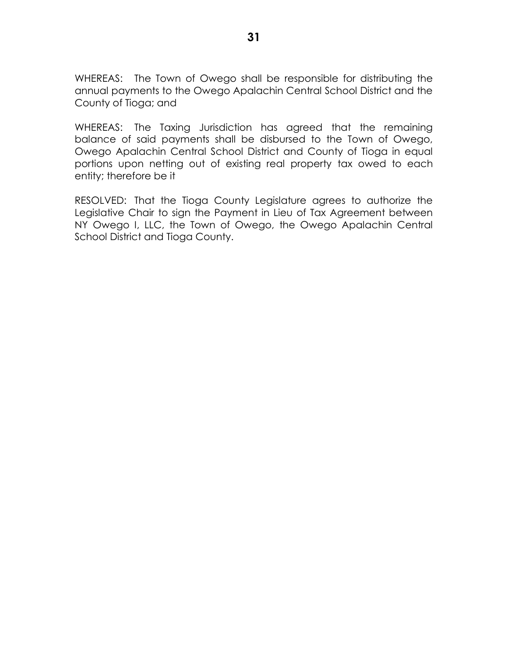WHEREAS: The Town of Owego shall be responsible for distributing the annual payments to the Owego Apalachin Central School District and the County of Tioga; and

WHEREAS: The Taxing Jurisdiction has agreed that the remaining balance of said payments shall be disbursed to the Town of Owego, Owego Apalachin Central School District and County of Tioga in equal portions upon netting out of existing real property tax owed to each entity; therefore be it

RESOLVED: That the Tioga County Legislature agrees to authorize the Legislative Chair to sign the Payment in Lieu of Tax Agreement between NY Owego I, LLC, the Town of Owego, the Owego Apalachin Central School District and Tioga County.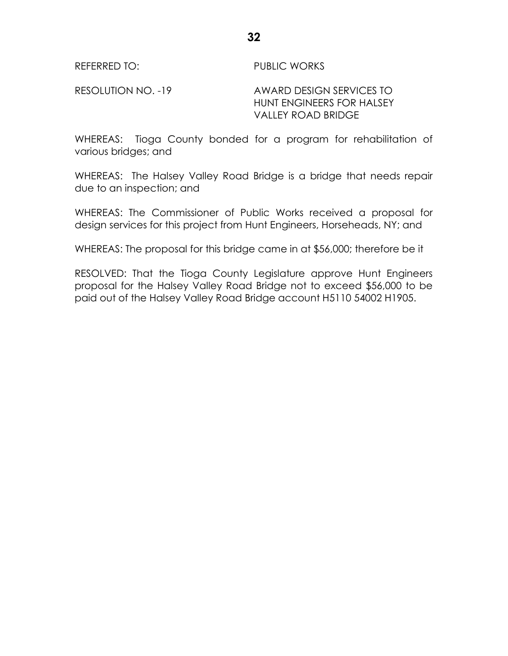REFERRED TO: PUBLIC WORKS

RESOLUTION NO. -19 AWARD DESIGN SERVICES TO HUNT ENGINEERS FOR HALSEY VALLEY ROAD BRIDGE

WHEREAS: Tioga County bonded for a program for rehabilitation of various bridges; and

WHEREAS: The Halsey Valley Road Bridge is a bridge that needs repair due to an inspection; and

WHEREAS: The Commissioner of Public Works received a proposal for design services for this project from Hunt Engineers, Horseheads, NY; and

WHEREAS: The proposal for this bridge came in at \$56,000; therefore be it

RESOLVED: That the Tioga County Legislature approve Hunt Engineers proposal for the Halsey Valley Road Bridge not to exceed \$56,000 to be paid out of the Halsey Valley Road Bridge account H5110 54002 H1905.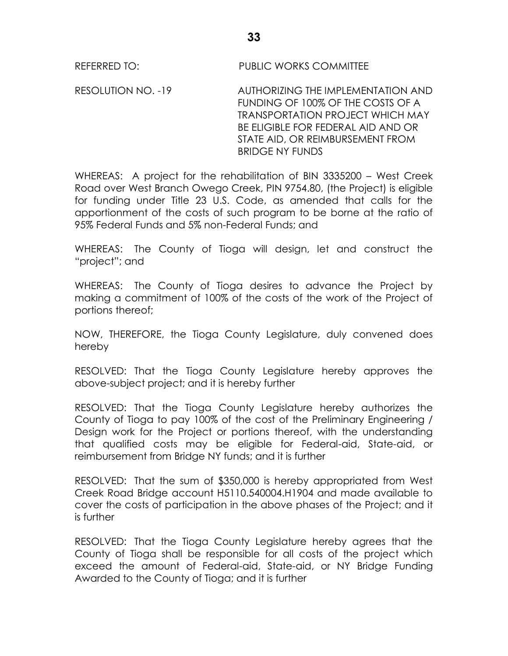REFERRED TO: PUBLIC WORKS COMMITTEE

RESOLUTION NO. -19 AUTHORIZING THE IMPLEMENTATION AND FUNDING OF 100% OF THE COSTS OF A TRANSPORTATION PROJECT WHICH MAY BE ELIGIBLE FOR FEDERAL AID AND OR STATE AID, OR REIMBURSEMENT FROM BRIDGE NY FUNDS

WHEREAS: A project for the rehabilitation of BIN 3335200 – West Creek Road over West Branch Owego Creek, PIN 9754.80, (the Project) is eligible for funding under Title 23 U.S. Code, as amended that calls for the apportionment of the costs of such program to be borne at the ratio of 95% Federal Funds and 5% non-Federal Funds; and

WHEREAS: The County of Tioga will design, let and construct the "project"; and

WHEREAS: The County of Tioga desires to advance the Project by making a commitment of 100% of the costs of the work of the Project of portions thereof;

NOW, THEREFORE, the Tioga County Legislature, duly convened does hereby

RESOLVED: That the Tioga County Legislature hereby approves the above-subject project; and it is hereby further

RESOLVED: That the Tioga County Legislature hereby authorizes the County of Tioga to pay 100% of the cost of the Preliminary Engineering / Design work for the Project or portions thereof, with the understanding that qualified costs may be eligible for Federal-aid, State-aid, or reimbursement from Bridge NY funds; and it is further

RESOLVED: That the sum of \$350,000 is hereby appropriated from West Creek Road Bridge account H5110.540004.H1904 and made available to cover the costs of participation in the above phases of the Project; and it is further

RESOLVED: That the Tioga County Legislature hereby agrees that the County of Tioga shall be responsible for all costs of the project which exceed the amount of Federal-aid, State-aid, or NY Bridge Funding Awarded to the County of Tioga; and it is further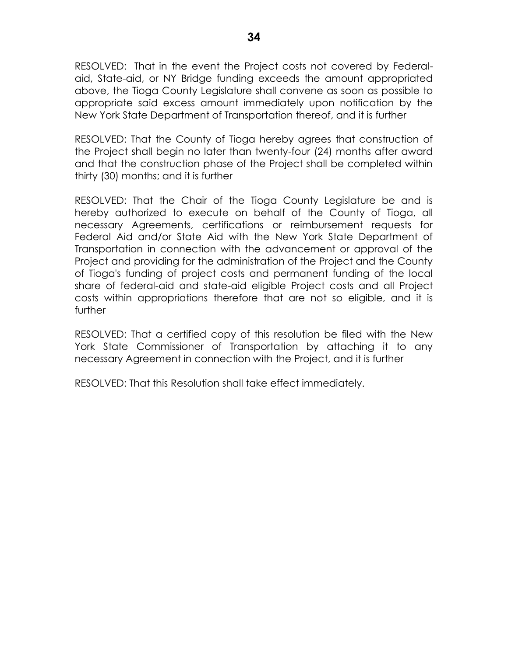RESOLVED: That in the event the Project costs not covered by Federalaid, State-aid, or NY Bridge funding exceeds the amount appropriated above, the Tioga County Legislature shall convene as soon as possible to appropriate said excess amount immediately upon notification by the New York State Department of Transportation thereof, and it is further

RESOLVED: That the County of Tioga hereby agrees that construction of the Project shall begin no later than twenty-four (24) months after award and that the construction phase of the Project shall be completed within thirty (30) months; and it is further

RESOLVED: That the Chair of the Tioga County Legislature be and is hereby authorized to execute on behalf of the County of Tioga, all necessary Agreements, certifications or reimbursement requests for Federal Aid and/or State Aid with the New York State Department of Transportation in connection with the advancement or approval of the Project and providing for the administration of the Project and the County of Tioga's funding of project costs and permanent funding of the local share of federal-aid and state-aid eligible Project costs and all Project costs within appropriations therefore that are not so eligible, and it is further

RESOLVED: That a certified copy of this resolution be filed with the New York State Commissioner of Transportation by attaching it to any necessary Agreement in connection with the Project, and it is further

RESOLVED: That this Resolution shall take effect immediately.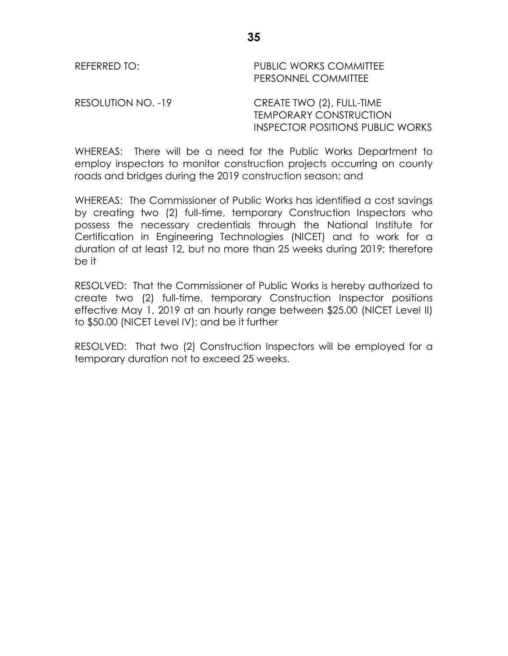#### REFERRED TO: PUBLIC WORKS COMMITTEE PERSONNEL COMMITTEE

RESOLUTION NO. -19 CREATE TWO (2), FULL-TIME

TEMPORARY CONSTRUCTION INSPECTOR POSITIONS PUBLIC WORKS

WHEREAS: There will be a need for the Public Works Department to employ inspectors to monitor construction projects occurring on county roads and bridges during the 2019 construction season; and

WHEREAS: The Commissioner of Public Works has identified a cost savings by creating two (2) full-time, temporary Construction Inspectors who possess the necessary credentials through the National Institute for Certification in Engineering Technologies (NICET) and to work for a duration of at least 12, but no more than 25 weeks during 2019; therefore be it

RESOLVED: That the Commissioner of Public Works is hereby authorized to create two (2) full-time, temporary Construction Inspector positions effective May 1, 2019 at an hourly range between \$25.00 (NICET Level II) to \$50.00 (NICET Level IV); and be it further

RESOLVED: That two (2) Construction Inspectors will be employed for a temporary duration not to exceed 25 weeks.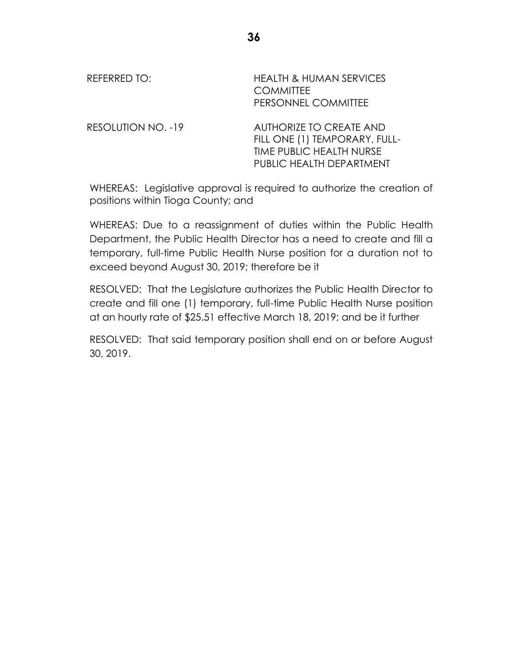| REFERRED TO:              | <b>HEALTH &amp; HUMAN SERVICES</b><br><b>COMMITTEE</b><br>PERSONNEL COMMITTEE                                    |
|---------------------------|------------------------------------------------------------------------------------------------------------------|
| <b>RESOLUTION NO. -19</b> | AUTHORIZE TO CREATE AND<br>FILL ONE (1) TEMPORARY, FULL-<br>TIME PUBLIC HEALTH NURSE<br>PUBLIC HEALTH DEPARTMENT |

WHEREAS: Legislative approval is required to authorize the creation of positions within Tioga County; and

WHEREAS: Due to a reassignment of duties within the Public Health Department, the Public Health Director has a need to create and fill a temporary, full-time Public Health Nurse position for a duration not to exceed beyond August 30, 2019; therefore be it

RESOLVED: That the Legislature authorizes the Public Health Director to create and fill one (1) temporary, full-time Public Health Nurse position at an hourly rate of \$25.51 effective March 18, 2019; and be it further

RESOLVED: That said temporary position shall end on or before August 30, 2019.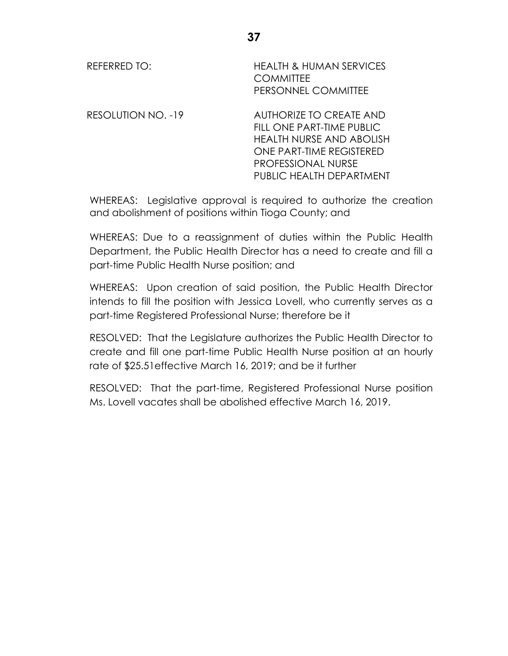| REFERRED TO:       | <b>HEALTH &amp; HUMAN SERVICES</b><br><b>COMMITTEE</b><br>PERSONNEL COMMITTEE                                                                                         |
|--------------------|-----------------------------------------------------------------------------------------------------------------------------------------------------------------------|
| RESOLUTION NO. -19 | <b>AUTHORIZE TO CREATE AND</b><br>FILL ONE PART-TIME PUBLIC<br>HEALTH NURSE AND ABOLISH<br>ONE PART-TIME REGISTERED<br>PROFESSIONAL NURSE<br>PUBLIC HEALTH DEPARTMENT |

WHEREAS: Legislative approval is required to authorize the creation and abolishment of positions within Tioga County; and

WHEREAS: Due to a reassignment of duties within the Public Health Department, the Public Health Director has a need to create and fill a part-time Public Health Nurse position; and

WHEREAS: Upon creation of said position, the Public Health Director intends to fill the position with Jessica Lovell, who currently serves as a part-time Registered Professional Nurse; therefore be it

RESOLVED: That the Legislature authorizes the Public Health Director to create and fill one part-time Public Health Nurse position at an hourly rate of \$25.51effective March 16, 2019; and be it further

RESOLVED: That the part-time, Registered Professional Nurse position Ms. Lovell vacates shall be abolished effective March 16, 2019.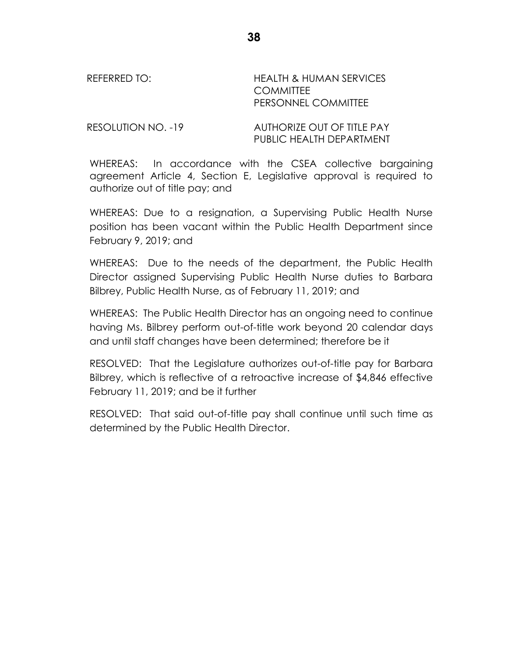REFERRED TO: HEALTH & HUMAN SERVICES **COMMITTEE** PERSONNEL COMMITTEE

RESOLUTION NO. -19 AUTHORIZE OUT OF TITLE PAY PUBLIC HEALTH DEPARTMENT

WHEREAS: In accordance with the CSEA collective bargaining agreement Article 4, Section E, Legislative approval is required to authorize out of title pay; and

WHEREAS: Due to a resignation, a Supervising Public Health Nurse position has been vacant within the Public Health Department since February 9, 2019; and

WHEREAS: Due to the needs of the department, the Public Health Director assigned Supervising Public Health Nurse duties to Barbara Bilbrey, Public Health Nurse, as of February 11, 2019; and

WHEREAS: The Public Health Director has an ongoing need to continue having Ms. Bilbrey perform out-of-title work beyond 20 calendar days and until staff changes have been determined; therefore be it

RESOLVED: That the Legislature authorizes out-of-title pay for Barbara Bilbrey, which is reflective of a retroactive increase of \$4,846 effective February 11, 2019; and be it further

RESOLVED: That said out-of-title pay shall continue until such time as determined by the Public Health Director.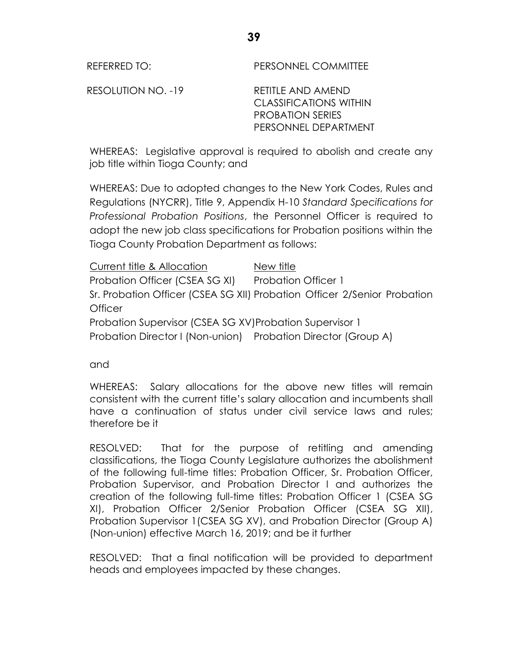REFERRED TO: PERSONNEL COMMITTEE

RESOLUTION NO. -19 RETITLE AND AMEND CLASSIFICATIONS WITHIN PROBATION SERIES PERSONNEL DEPARTMENT

WHEREAS: Legislative approval is required to abolish and create any job title within Tioga County; and

WHEREAS: Due to adopted changes to the New York Codes, Rules and Regulations (NYCRR), Title 9, Appendix H-10 *Standard Specifications for Professional Probation Positions*, the Personnel Officer is required to adopt the new job class specifications for Probation positions within the Tioga County Probation Department as follows:

Current title & Allocation New title Probation Officer (CSEA SG XI) Probation Officer 1 Sr. Probation Officer (CSEA SG XII) Probation Officer 2/Senior Probation **Officer** Probation Supervisor (CSEA SG XV)Probation Supervisor 1 Probation Director I (Non-union) Probation Director (Group A)

and

WHEREAS: Salary allocations for the above new titles will remain consistent with the current title's salary allocation and incumbents shall have a continuation of status under civil service laws and rules; therefore be it

RESOLVED: That for the purpose of retitling and amending classifications, the Tioga County Legislature authorizes the abolishment of the following full-time titles: Probation Officer, Sr. Probation Officer, Probation Supervisor, and Probation Director I and authorizes the creation of the following full-time titles: Probation Officer 1 (CSEA SG XI), Probation Officer 2/Senior Probation Officer (CSEA SG XII), Probation Supervisor 1(CSEA SG XV), and Probation Director (Group A) (Non-union) effective March 16, 2019; and be it further

RESOLVED: That a final notification will be provided to department heads and employees impacted by these changes.